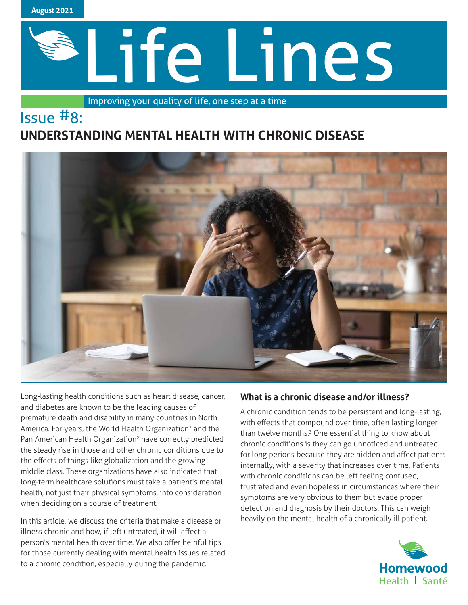

# Life Lines

Improving your quality of life, one step at a time

# Issue #8: **UNDERSTANDING MENTAL HEALTH WITH CHRONIC DISEASE**



Long-lasting health conditions such as heart disease, cancer, and diabetes are known to be the leading causes of premature death and disability in many countries in North America. For years, the World Health Organization<sup>1</sup> and the Pan American Health Organization<sup>2</sup> have correctly predicted the steady rise in those and other chronic conditions due to the effects of things like globalization and the growing middle class. These organizations have also indicated that long-term healthcare solutions must take a patient's mental health, not just their physical symptoms, into consideration when deciding on a course of treatment.

In this article, we discuss the criteria that make a disease or illness chronic and how, if left untreated, it will affect a person's mental health over time. We also offer helpful tips for those currently dealing with mental health issues related to a chronic condition, especially during the pandemic.

# **What is a chronic disease and/or illness?**

A chronic condition tends to be persistent and long-lasting, with effects that compound over time, often lasting longer than twelve months.<sup>3</sup> One essential thing to know about chronic conditions is they can go unnoticed and untreated for long periods because they are hidden and affect patients internally, with a severity that increases over time. Patients with chronic conditions can be left feeling confused, frustrated and even hopeless in circumstances where their symptoms are very obvious to them but evade proper detection and diagnosis by their doctors. This can weigh heavily on the mental health of a chronically ill patient.

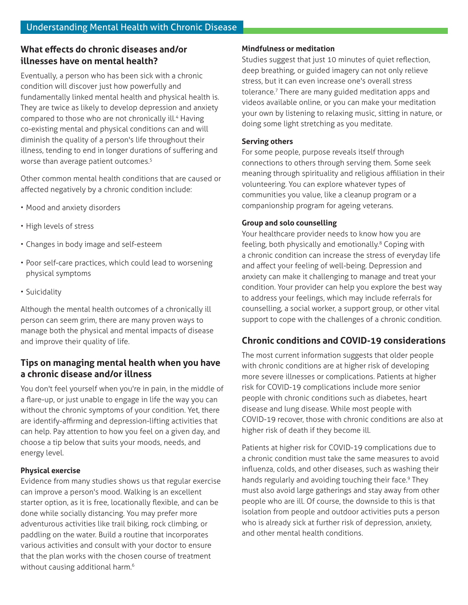# **What effects do chronic diseases and/or illnesses have on mental health?**

Eventually, a person who has been sick with a chronic condition will discover just how powerfully and fundamentally linked mental health and physical health is. They are twice as likely to develop depression and anxiety compared to those who are not chronically ill.<sup>4</sup> Having co-existing mental and physical conditions can and will diminish the quality of a person's life throughout their illness, tending to end in longer durations of suffering and worse than average patient outcomes.<sup>5</sup>

Other common mental health conditions that are caused or affected negatively by a chronic condition include:

- Mood and anxiety disorders
- High levels of stress
- Changes in body image and self-esteem
- Poor self-care practices, which could lead to worsening physical symptoms
- Suicidality

Although the mental health outcomes of a chronically ill person can seem grim, there are many proven ways to manage both the physical and mental impacts of disease and improve their quality of life.

# **Tips on managing mental health when you have a chronic disease and/or illness**

You don't feel yourself when you're in pain, in the middle of a flare-up, or just unable to engage in life the way you can without the chronic symptoms of your condition. Yet, there are identify-affirming and depression-lifting activities that can help. Pay attention to how you feel on a given day, and choose a tip below that suits your moods, needs, and energy level.

# **Physical exercise**

Evidence from many studies shows us that regular exercise can improve a person's mood. Walking is an excellent starter option, as it is free, locationally flexible, and can be done while socially distancing. You may prefer more adventurous activities like trail biking, rock climbing, or paddling on the water. Build a routine that incorporates various activities and consult with your doctor to ensure that the plan works with the chosen course of treatment without causing additional harm.<sup>6</sup>

#### **Mindfulness or meditation**

Studies suggest that just 10 minutes of quiet reflection, deep breathing, or guided imagery can not only relieve stress, but it can even increase one's overall stress tolerance.7 There are many guided meditation apps and videos available online, or you can make your meditation your own by listening to relaxing music, sitting in nature, or doing some light stretching as you meditate.

#### **Serving others**

For some people, purpose reveals itself through connections to others through serving them. Some seek meaning through spirituality and religious affiliation in their volunteering. You can explore whatever types of communities you value, like a cleanup program or a companionship program for ageing veterans.

#### **Group and solo counselling**

Your healthcare provider needs to know how you are feeling, both physically and emotionally.<sup>8</sup> Coping with a chronic condition can increase the stress of everyday life and affect your feeling of well-being. Depression and anxiety can make it challenging to manage and treat your condition. Your provider can help you explore the best way to address your feelings, which may include referrals for counselling, a social worker, a support group, or other vital support to cope with the challenges of a chronic condition.

# **Chronic conditions and COVID-19 considerations**

The most current information suggests that older people with chronic conditions are at higher risk of developing more severe illnesses or complications. Patients at higher risk for COVID-19 complications include more senior people with chronic conditions such as diabetes, heart disease and lung disease. While most people with COVID-19 recover, those with chronic conditions are also at higher risk of death if they become ill.

Patients at higher risk for COVID-19 complications due to a chronic condition must take the same measures to avoid influenza, colds, and other diseases, such as washing their hands regularly and avoiding touching their face.<sup>9</sup> They must also avoid large gatherings and stay away from other people who are ill. Of course, the downside to this is that isolation from people and outdoor activities puts a person who is already sick at further risk of depression, anxiety, and other mental health conditions.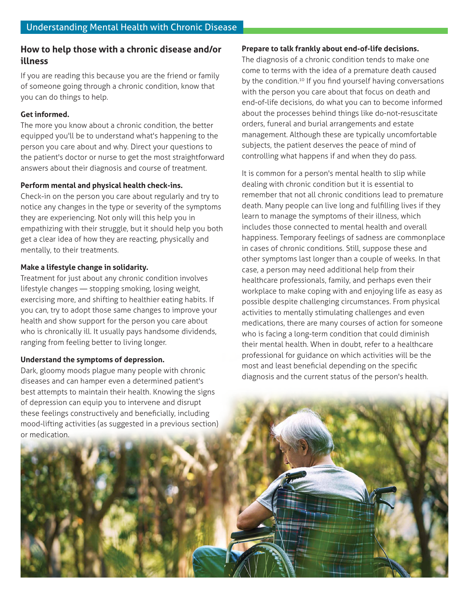# **How to help those with a chronic disease and/or illness**

If you are reading this because you are the friend or family of someone going through a chronic condition, know that you can do things to help.

#### **Get informed.**

The more you know about a chronic condition, the better equipped you'll be to understand what's happening to the person you care about and why. Direct your questions to the patient's doctor or nurse to get the most straightforward answers about their diagnosis and course of treatment.

### **Perform mental and physical health check-ins.**

Check-in on the person you care about regularly and try to notice any changes in the type or severity of the symptoms they are experiencing. Not only will this help you in empathizing with their struggle, but it should help you both get a clear idea of how they are reacting, physically and mentally, to their treatments.

# **Make a lifestyle change in solidarity.**

Treatment for just about any chronic condition involves lifestyle changes — stopping smoking, losing weight, exercising more, and shifting to healthier eating habits. If you can, try to adopt those same changes to improve your health and show support for the person you care about who is chronically ill. It usually pays handsome dividends, ranging from feeling better to living longer.

# **Understand the symptoms of depression.**

Dark, gloomy moods plague many people with chronic diseases and can hamper even a determined patient's best attempts to maintain their health. Knowing the signs of depression can equip you to intervene and disrupt these feelings constructively and beneficially, including mood-lifting activities (as suggested in a previous section) or medication.

#### **Prepare to talk frankly about end-of-life decisions.**

The diagnosis of a chronic condition tends to make one come to terms with the idea of a premature death caused by the condition.<sup>10</sup> If you find yourself having conversations with the person you care about that focus on death and end-of-life decisions, do what you can to become informed about the processes behind things like do-not-resuscitate orders, funeral and burial arrangements and estate management. Although these are typically uncomfortable subjects, the patient deserves the peace of mind of controlling what happens if and when they do pass.

It is common for a person's mental health to slip while dealing with chronic condition but it is essential to remember that not all chronic conditions lead to premature death. Many people can live long and fulfilling lives if they learn to manage the symptoms of their illness, which includes those connected to mental health and overall happiness. Temporary feelings of sadness are commonplace in cases of chronic conditions. Still, suppose these and other symptoms last longer than a couple of weeks. In that case, a person may need additional help from their healthcare professionals, family, and perhaps even their workplace to make coping with and enjoying life as easy as possible despite challenging circumstances. From physical activities to mentally stimulating challenges and even medications, there are many courses of action for someone who is facing a long-term condition that could diminish their mental health. When in doubt, refer to a healthcare professional for guidance on which activities will be the most and least beneficial depending on the specific diagnosis and the current status of the person's health.